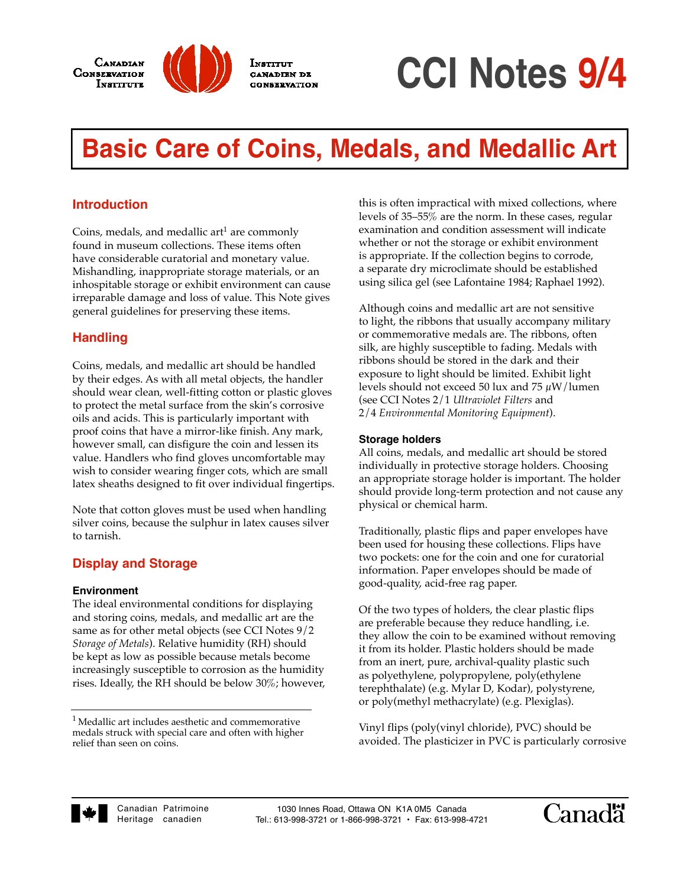



**INSTITUT** 

**CANADIEN DE** 

**CCI Notes 9/4**

# **Basic Care of Coins, Medals, and Medallic Art**

## **Introduction**

Coins, medals, and medallic art<sup>1</sup> are commonly found in museum collections. These items often have considerable curatorial and monetary value. Mishandling, inappropriate storage materials, or an inhospitable storage or exhibit environment can cause irreparable damage and loss of value. This Note gives general guidelines for preserving these items.

## **Handling**

Coins, medals, and medallic art should be handled by their edges. As with all metal objects, the handler should wear clean, well-fitting cotton or plastic gloves to protect the metal surface from the skin's corrosive oils and acids. This is particularly important with proof coins that have a mirror-like finish. Any mark, however small, can disfigure the coin and lessen its value. Handlers who find gloves uncomfortable may wish to consider wearing finger cots, which are small latex sheaths designed to fit over individual fingertips.

Note that cotton gloves must be used when handling silver coins, because the sulphur in latex causes silver to tarnish.

## **Display and Storage**

#### **Environment**

The ideal environmental conditions for displaying and storing coins, medals, and medallic art are the same as for other metal objects (see CCI Notes 9/2 *Storage of Metals*). Relative humidity (RH) should be kept as low as possible because metals become increasingly susceptible to corrosion as the humidity rises. Ideally, the RH should be below 30%; however, this is often impractical with mixed collections, where levels of  $35-55\%$  are the norm. In these cases, regular examination and condition assessment will indicate whether or not the storage or exhibit environment is appropriate. If the collection begins to corrode, a separate dry microclimate should be established using silica gel (see Lafontaine 1984; Raphael 1992).

Although coins and medallic art are not sensitive to light, the ribbons that usually accompany military or commemorative medals are. The ribbons, often silk, are highly susceptible to fading. Medals with ribbons should be stored in the dark and their exposure to light should be limited. Exhibit light levels should not exceed 50 lux and 75  $\mu$ W/lumen (see CCI Notes 2/1 *Ultraviolet Filters* and 2/4 *Environmental Monitoring Equipment*).

#### **Storage holders**

All coins, medals, and medallic art should be stored individually in protective storage holders. Choosing an appropriate storage holder is important. The holder should provide long-term protection and not cause any physical or chemical harm.

Traditionally, plastic flips and paper envelopes have been used for housing these collections. Flips have two pockets: one for the coin and one for curatorial information. Paper envelopes should be made of good-quality, acid-free rag paper.

Of the two types of holders, the clear plastic flips are preferable because they reduce handling, i.e. they allow the coin to be examined without removing it from its holder. Plastic holders should be made from an inert, pure, archival-quality plastic such as polyethylene, polypropylene, poly(ethylene terephthalate) (e.g. Mylar D, Kodar), polystyrene, or poly(methyl methacrylate) (e.g. Plexiglas).

Vinyl flips (poly(vinyl chloride), PVC) should be avoided. The plasticizer in PVC is particularly corrosive





 $^{\rm 1}$  Medallic art includes aesthetic and commemorative medals struck with special care and often with higher relief than seen on coins.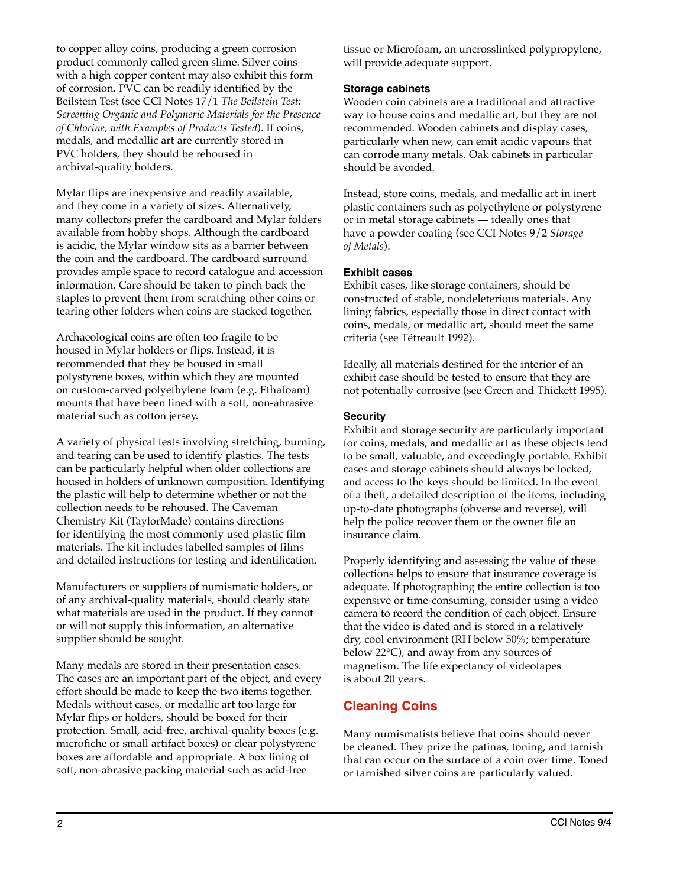to copper alloy coins, producing a green corrosion product commonly called green slime. Silver coins with a high copper content may also exhibit this form of corrosion. PVC can be readily identified by the Beilstein Test (see CCI Notes 17/1 *The Beilstein Test: Screening Organic and Polymeric Materials for the Presence of Chlorine, with Examples of Products Tested*). If coins, medals, and medallic art are currently stored in PVC holders, they should be rehoused in archival-quality holders.

Mylar flips are inexpensive and readily available, and they come in a variety of sizes. Alternatively, many collectors prefer the cardboard and Mylar folders available from hobby shops. Although the cardboard is acidic, the Mylar window sits as a barrier between the coin and the cardboard. The cardboard surround provides ample space to record catalogue and accession information. Care should be taken to pinch back the staples to prevent them from scratching other coins or tearing other folders when coins are stacked together.

Archaeological coins are often too fragile to be housed in Mylar holders or flips. Instead, it is recommended that they be housed in small polystyrene boxes, within which they are mounted on custom-carved polyethylene foam (e.g. Ethafoam) mounts that have been lined with a soft, non-abrasive material such as cotton jersey.

A variety of physical tests involving stretching, burning, and tearing can be used to identify plastics. The tests can be particularly helpful when older collections are housed in holders of unknown composition. Identifying the plastic will help to determine whether or not the collection needs to be rehoused. The Caveman Chemistry Kit (TaylorMade) contains directions for identifying the most commonly used plastic film materials. The kit includes labelled samples of films and detailed instructions for testing and identification.

Manufacturers or suppliers of numismatic holders, or of any archival-quality materials, should clearly state what materials are used in the product. If they cannot or will not supply this information, an alternative supplier should be sought.

Many medals are stored in their presentation cases. The cases are an important part of the object, and every effort should be made to keep the two items together. Medals without cases, or medallic art too large for Mylar flips or holders, should be boxed for their protection. Small, acid-free, archival-quality boxes (e.g. microfiche or small artifact boxes) or clear polystyrene boxes are affordable and appropriate. A box lining of soft, non-abrasive packing material such as acid-free

tissue or Microfoam, an uncrosslinked polypropylene, will provide adequate support.

#### **Storage cabinets**

Wooden coin cabinets are a traditional and attractive way to house coins and medallic art, but they are not recommended. Wooden cabinets and display cases, particularly when new, can emit acidic vapours that can corrode many metals. Oak cabinets in particular should be avoided.

Instead, store coins, medals, and medallic art in inert plastic containers such as polyethylene or polystyrene or in metal storage cabinets — ideally ones that have a powder coating (see CCI Notes 9/2 *Storage of Metals*).

#### **Exhibit cases**

Exhibit cases, like storage containers, should be constructed of stable, nondeleterious materials. Any lining fabrics, especially those in direct contact with coins, medals, or medallic art, should meet the same criteria (see Tétreault 1992).

Ideally, all materials destined for the interior of an exhibit case should be tested to ensure that they are not potentially corrosive (see Green and Thickett 1995).

#### **Security**

Exhibit and storage security are particularly important for coins, medals, and medallic art as these objects tend to be small, valuable, and exceedingly portable. Exhibit cases and storage cabinets should always be locked, and access to the keys should be limited. In the event of a theft, a detailed description of the items, including up-to-date photographs (obverse and reverse), will help the police recover them or the owner file an insurance claim.

Properly identifying and assessing the value of these collections helps to ensure that insurance coverage is adequate. If photographing the entire collection is too expensive or time-consuming, consider using a video camera to record the condition of each object. Ensure that the video is dated and is stored in a relatively dry, cool environment (RH below 50%; temperature below 22°C), and away from any sources of magnetism. The life expectancy of videotapes is about 20 years.

## **Cleaning Coins**

Many numismatists believe that coins should never be cleaned. They prize the patinas, toning, and tarnish that can occur on the surface of a coin over time. Toned or tarnished silver coins are particularly valued.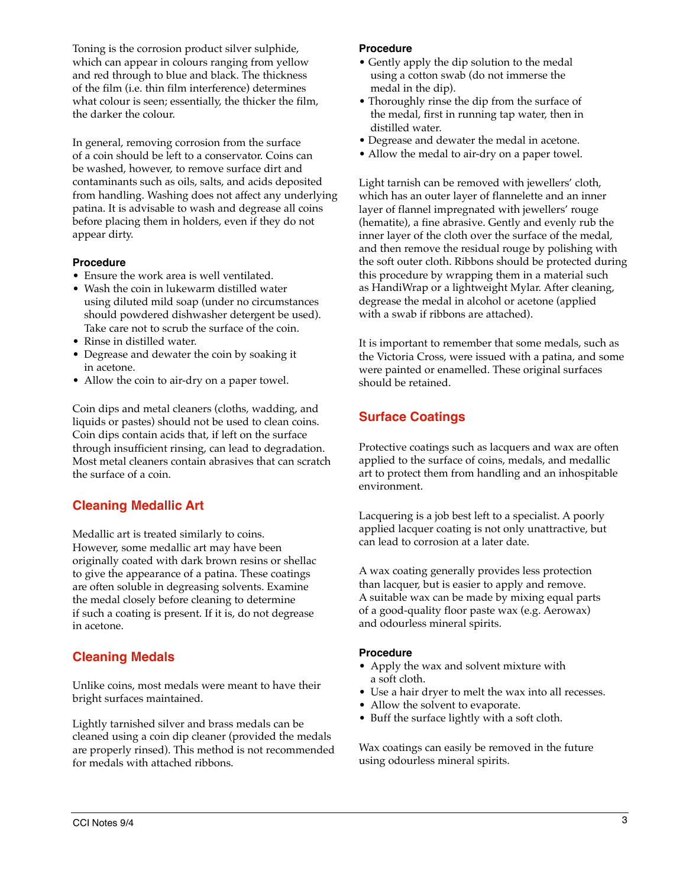Toning is the corrosion product silver sulphide, which can appear in colours ranging from yellow and red through to blue and black. The thickness of the film (i.e. thin film interference) determines what colour is seen; essentially, the thicker the film, the darker the colour.

In general, removing corrosion from the surface of a coin should be left to a conservator. Coins can be washed, however, to remove surface dirt and contaminants such as oils, salts, and acids deposited from handling. Washing does not affect any underlying patina. It is advisable to wash and degrease all coins before placing them in holders, even if they do not appear dirty.

#### **Procedure**

- Ensure the work area is well ventilated.
- Wash the coin in lukewarm distilled water using diluted mild soap (under no circumstances should powdered dishwasher detergent be used). Take care not to scrub the surface of the coin.
- Rinse in distilled water.
- Degrease and dewater the coin by soaking it in acetone.
- Allow the coin to air-dry on a paper towel.

Coin dips and metal cleaners (cloths, wadding, and liquids or pastes) should not be used to clean coins. Coin dips contain acids that, if left on the surface through insufficient rinsing, can lead to degradation. Most metal cleaners contain abrasives that can scratch the surface of a coin.

# **Cleaning Medallic Art**

Medallic art is treated similarly to coins. However, some medallic art may have been originally coated with dark brown resins or shellac to give the appearance of a patina. These coatings are often soluble in degreasing solvents. Examine the medal closely before cleaning to determine if such a coating is present. If it is, do not degrease in acetone.

## **Cleaning Medals**

Unlike coins, most medals were meant to have their bright surfaces maintained.

Lightly tarnished silver and brass medals can be cleaned using a coin dip cleaner (provided the medals are properly rinsed). This method is not recommended for medals with attached ribbons.

#### **Procedure**

- Gently apply the dip solution to the medal using a cotton swab (do not immerse the medal in the dip).
- Thoroughly rinse the dip from the surface of the medal, first in running tap water, then in distilled water.
- Degrease and dewater the medal in acetone.
- Allow the medal to air-dry on a paper towel.

Light tarnish can be removed with jewellers' cloth, which has an outer layer of flannelette and an inner layer of flannel impregnated with jewellers' rouge (hematite), a fine abrasive. Gently and evenly rub the inner layer of the cloth over the surface of the medal, and then remove the residual rouge by polishing with the soft outer cloth. Ribbons should be protected during this procedure by wrapping them in a material such as HandiWrap or a lightweight Mylar. After cleaning, degrease the medal in alcohol or acetone (applied with a swab if ribbons are attached).

It is important to remember that some medals, such as the Victoria Cross, were issued with a patina, and some were painted or enamelled. These original surfaces should be retained.

# **Surface Coatings**

Protective coatings such as lacquers and wax are often applied to the surface of coins, medals, and medallic art to protect them from handling and an inhospitable environment.

Lacquering is a job best left to a specialist. A poorly applied lacquer coating is not only unattractive, but can lead to corrosion at a later date.

A wax coating generally provides less protection than lacquer, but is easier to apply and remove. A suitable wax can be made by mixing equal parts of a good-quality floor paste wax (e.g. Aerowax) and odourless mineral spirits.

#### **Procedure**

- Apply the wax and solvent mixture with a soft cloth.
- Use a hair dryer to melt the wax into all recesses.
- Allow the solvent to evaporate.
- Buff the surface lightly with a soft cloth.

Wax coatings can easily be removed in the future using odourless mineral spirits.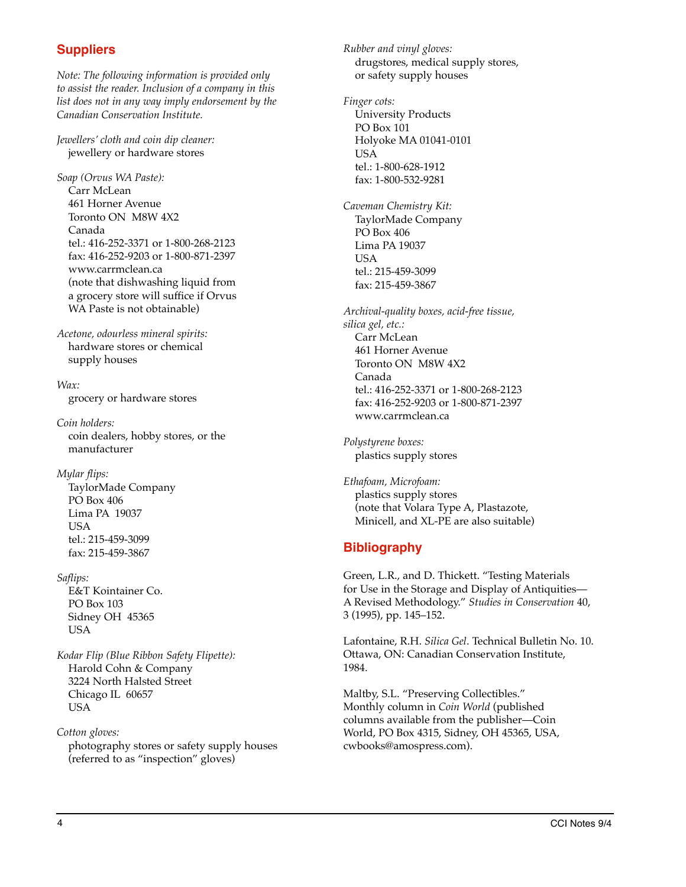## **Suppliers**

*Note: The following information is provided only to assist the reader. Inclusion of a company in this list does not in any way imply endorsement by the Canadian Conservation Institute.*

*Jewellers' cloth and coin dip cleaner:*  jewellery or hardware stores

*Soap (Orvus WA Paste):* Carr McLean 461 Horner Avenue Toronto ON M8W 4X2 Canada tel.: 416-252-3371 or 1-800-268-2123 fax: 416-252-9203 or 1-800-871-2397 www.carrmclean.ca (note that dishwashing liquid from a grocery store will suffice if Orvus WA Paste is not obtainable)

*Acetone, odourless mineral spirits:* hardware stores or chemical supply houses

*Wax:*  grocery or hardware stores

*Coin holders:* coin dealers, hobby stores, or the manufacturer

*Mylar flips:*

TaylorMade Company PO Box 406 Lima PA 19037 USA tel.: 215-459-3099 fax: 215-459-3867

*Saflips:* E&T Kointainer Co. PO Box 103 Sidney OH 45365 USA

*Kodar Flip (Blue Ribbon Safety Flipette):* Harold Cohn & Company 3224 North Halsted Street Chicago IL 60657 USA

*Cotton gloves:*  photography stores or safety supply houses (referred to as "inspection" gloves)

*Rubber and vinyl gloves:* drugstores, medical supply stores, or safety supply houses

*Finger cots:* University Products PO Box 101 Holyoke MA 01041-0101 USA tel.: 1-800-628-1912 fax: 1-800-532-9281

*Caveman Chemistry Kit:* TaylorMade Company PO Box 406 Lima PA 19037 **USA** tel.: 215-459-3099 fax: 215-459-3867

*Archival-quality boxes, acid-free tissue, silica gel, etc.:* Carr McLean 461 Horner Avenue Toronto ON M8W 4X2 Canada tel.: 416-252-3371 or 1-800-268-2123 fax: 416-252-9203 or 1-800-871-2397 www.carrmclean.ca

*Polystyrene boxes:*  plastics supply stores

*Ethafoam, Microfoam:* plastics supply stores (note that Volara Type A, Plastazote, Minicell, and XL-PE are also suitable)

## **Bibliography**

Green, L.R., and D. Thickett. "Testing Materials for Use in the Storage and Display of Antiquities— A Revised Methodology." *Studies in Conservation* 40, 3 (1995), pp. 145–152.

Lafontaine, R.H. *Silica Gel*. Technical Bulletin No. 10. Ottawa, ON: Canadian Conservation Institute, 1984.

Maltby, S.L. "Preserving Collectibles." Monthly column in *Coin World* (published columns available from the publisher—Coin World, PO Box 4315, Sidney, OH 45365, USA, cwbooks@amospress.com).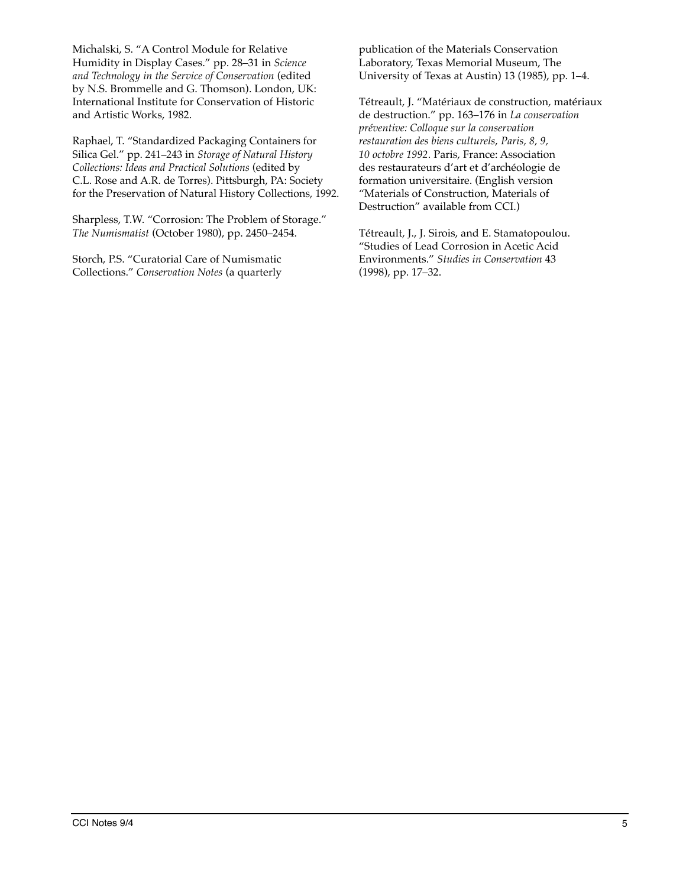Michalski, S. "A Control Module for Relative Humidity in Display Cases." pp. 28–31 in *Science and Technology in the Service of Conservation* (edited by N.S. Brommelle and G. Thomson). London, UK: International Institute for Conservation of Historic and Artistic Works, 1982.

Raphael, T. "Standardized Packaging Containers for Silica Gel." pp. 241–243 in *Storage of Natural History Collections: Ideas and Practical Solutions* (edited by C.L. Rose and A.R. de Torres). Pittsburgh, PA: Society for the Preservation of Natural History Collections, 1992.

Sharpless, T.W. "Corrosion: The Problem of Storage." *The Numismatist* (October 1980), pp. 2450–2454.

Storch, P.S. "Curatorial Care of Numismatic Collections." *Conservation Notes* (a quarterly publication of the Materials Conservation Laboratory, Texas Memorial Museum, The University of Texas at Austin) 13 (1985), pp. 1–4.

Tétreault, J. "Matériaux de construction, matériaux de destruction." pp. 163–176 in *La conservation préventive: Colloque sur la conservation restauration des biens culturels*, *Paris, 8, 9, 10 octobre 1992*. Paris, France: Association des restaurateurs d'art et d'archéologie de formation universitaire. (English version "Materials of Construction, Materials of Destruction" available from CCI.)

Tétreault, J., J. Sirois, and E. Stamatopoulou. "Studies of Lead Corrosion in Acetic Acid Environments." *Studies in Conservation* 43 (1998), pp. 17–32.